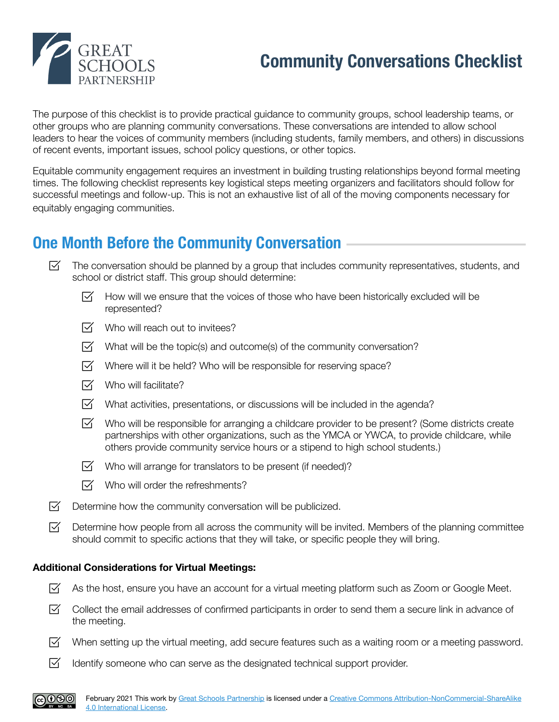

# **Community Conversations Checklist**

The purpose of this checklist is to provide practical guidance to community groups, school leadership teams, or other groups who are planning community conversations. These conversations are intended to allow school leaders to hear the voices of community members (including students, family members, and others) in discussions of recent events, important issues, school policy questions, or other topics.

Equitable community engagement requires an investment in building trusting relationships beyond formal meeting times. The following checklist represents key logistical steps meeting organizers and facilitators should follow for successful meetings and follow-up. This is not an exhaustive list of all of the moving components necessary for equitably engaging communities.

### **One Month Before the Community Conversation**

- $\boxtimes$ The conversation should be planned by a group that includes community representatives, students, and school or district staff. This group should determine:
	- ☑ ⊺ How will we ensure that the voices of those who have been historically excluded will be represented?
	- $\nabla f$  Who will reach out to invitees?
	- $\triangledown$  What will be the topic(s) and outcome(s) of the community conversation?
	- $\overline{Y}$  Where will it be held? Who will be responsible for reserving space?
	- $\overline{M}$  Who will facilitate?
	- $\triangledown$  What activities, presentations, or discussions will be included in the agenda?
	- $\nabla$ Who will be responsible for arranging a childcare provider to be present? (Some districts create partnerships with other organizations, such as the YMCA or YWCA, to provide childcare, while others provide community service hours or a stipend to high school students.)
	- $\overline{V}$  Who will arrange for translators to be present (if needed)?
	- $\triangledown$  Who will order the refreshments?
- ☑ Determine how the community conversation will be publicized.
- $\nabla$ Determine how people from all across the community will be invited. Members of the planning committee should commit to specific actions that they will take, or specific people they will bring.

#### **Additional Considerations for Virtual Meetings:**

- $\boxtimes$  As the host, ensure you have an account for a virtual meeting platform such as Zoom or Google Meet.
- $\nabla$ Collect the email addresses of confirmed participants in order to send them a secure link in advance of the meeting.
- ⊠⊟ When setting up the virtual meeting, add secure features such as a waiting room or a meeting password.
- $\triangledown$  Identify someone who can serve as the designated technical support provider.

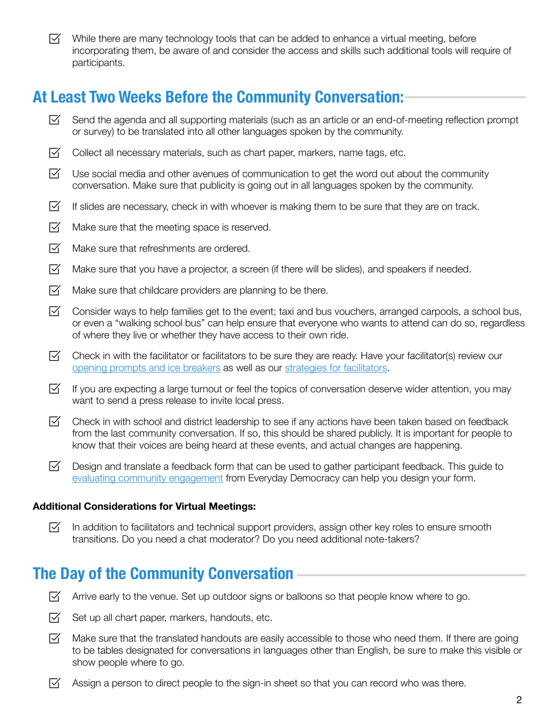$\triangledown$  While there are many technology tools that can be added to enhance a virtual meeting, before incorporating them, be aware of and consider the access and skills such additional tools will require of participants.

### **At Least Two Weeks Before the Community Conversation:**

- $\nabla$ Send the agenda and all supporting materials (such as an article or an end-of-meeting reflection prompt or survey) to be translated into all other languages spoken by the community.
- $\nabla$ Collect all necessary materials, such as chart paper, markers, name tags, etc.
- $\triangledown$  Use social media and other avenues of communication to get the word out about the community conversation. Make sure that publicity is going out in all languages spoken by the community.
- $\boxtimes^-$ If slides are necessary, check in with whoever is making them to be sure that they are on track.
- $\nabla$ Make sure that the meeting space is reserved.
- $\nabla$ Make sure that refreshments are ordered.
- $\boxtimes$ Make sure that you have a projector, a screen (if there will be slides), and speakers if needed.
- $\nabla$ Make sure that childcare providers are planning to be there.
- $\boxtimes$ Consider ways to help families get to the event; taxi and bus vouchers, arranged carpools, a school bus, or even a "walking school bus" can help ensure that everyone who wants to attend can do so, regardless of where they live or whether they have access to their own ride.
- $\triangledown$  Check in with the facilitator or facilitators to be sure they are ready. Have your facilitator(s) review our [opening prompts and ice breakers](https://www.greatschoolspartnership.org/resources/equitable-community-engagement/opening-prompts-ice-breakers/) as well as our [strategies for facilitators](https://www.greatschoolspartnership.org/resources/equitable-community-engagement/strategies-for-facilitators-of-community-meetings/).
- $\nabla$ If you are expecting a large turnout or feel the topics of conversation deserve wider attention, you may want to send a press release to invite local press.
- $\boxtimes$ Check in with school and district leadership to see if any actions have been taken based on feedback from the last community conversation. If so, this should be shared publicly. It is important for people to know that their voices are being heard at these events, and actual changes are happening.
- $\boxtimes$ Design and translate a feedback form that can be used to gather participant feedback. This guide to [evaluating community engagement](https://www.everyday-democracy.org/resources/evaluating-community-engagement) from Everyday Democracy can help you design your form.

#### **Additional Considerations for Virtual Meetings:**

⊠ In addition to facilitators and technical support providers, assign other key roles to ensure smooth transitions. Do you need a chat moderator? Do you need additional note-takers?

### **The Day of the Community Conversation**

- $\triangledown$  Arrive early to the venue. Set up outdoor signs or balloons so that people know where to go.
- ⊠− Set up all chart paper, markers, handouts, etc.
- $\boxtimes$ Make sure that the translated handouts are easily accessible to those who need them. If there are going to be tables designated for conversations in languages other than English, be sure to make this visible or show people where to go.
- $\nabla$ Assign a person to direct people to the sign-in sheet so that you can record who was there.